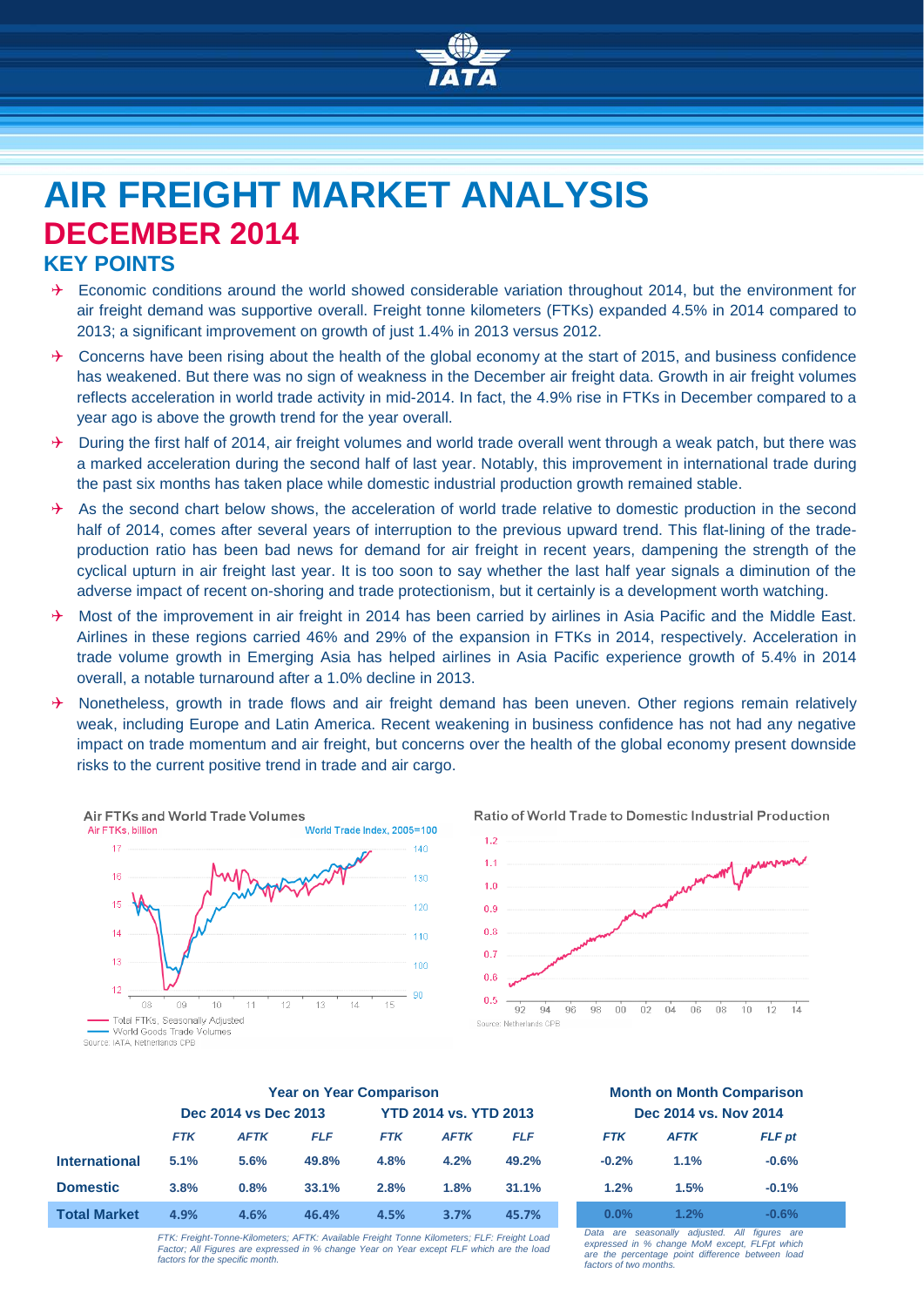

# **AIR FREIGHT MARKET ANALYSIS DECEMBER 2014**

## **KEY POINTS**

- $\rightarrow$  Economic conditions around the world showed considerable variation throughout 2014, but the environment for air freight demand was supportive overall. Freight tonne kilometers (FTKs) expanded 4.5% in 2014 compared to 2013; a significant improvement on growth of just 1.4% in 2013 versus 2012.
- $\rightarrow$  Concerns have been rising about the health of the global economy at the start of 2015, and business confidence has weakened. But there was no sign of weakness in the December air freight data. Growth in air freight volumes reflects acceleration in world trade activity in mid-2014. In fact, the 4.9% rise in FTKs in December compared to a year ago is above the growth trend for the year overall.
- $\rightarrow$  During the first half of 2014, air freight volumes and world trade overall went through a weak patch, but there was a marked acceleration during the second half of last year. Notably, this improvement in international trade during the past six months has taken place while domestic industrial production growth remained stable.
- $\rightarrow$  As the second chart below shows, the acceleration of world trade relative to domestic production in the second half of 2014, comes after several years of interruption to the previous upward trend. This flat-lining of the tradeproduction ratio has been bad news for demand for air freight in recent years, dampening the strength of the cyclical upturn in air freight last year. It is too soon to say whether the last half year signals a diminution of the adverse impact of recent on-shoring and trade protectionism, but it certainly is a development worth watching.
- $\rightarrow$  Most of the improvement in air freight in 2014 has been carried by airlines in Asia Pacific and the Middle East. Airlines in these regions carried 46% and 29% of the expansion in FTKs in 2014, respectively. Acceleration in trade volume growth in Emerging Asia has helped airlines in Asia Pacific experience growth of 5.4% in 2014 overall, a notable turnaround after a 1.0% decline in 2013.
- $\rightarrow$  Nonetheless, growth in trade flows and air freight demand has been uneven. Other regions remain relatively weak, including Europe and Latin America. Recent weakening in business confidence has not had any negative impact on trade momentum and air freight, but concerns over the health of the global economy present downside risks to the current positive trend in trade and air cargo.







|                      | <b>Year on Year Comparison</b> |             |            |                              |             | <b>Month on Month Comparisor</b> |                       |             |               |
|----------------------|--------------------------------|-------------|------------|------------------------------|-------------|----------------------------------|-----------------------|-------------|---------------|
|                      | Dec 2014 vs Dec 2013           |             |            | <b>YTD 2014 vs. YTD 2013</b> |             |                                  | Dec 2014 vs. Nov 2014 |             |               |
|                      | <b>FTK</b>                     | <b>AFTK</b> | <b>FLF</b> | <b>FTK</b>                   | <b>AFTK</b> | <b>FLF</b>                       | <b>FTK</b>            | <b>AFTK</b> | <b>FLF</b> pt |
| <b>International</b> | 5.1%                           | 5.6%        | 49.8%      | 4.8%                         | 4.2%        | 49.2%                            | $-0.2%$               | 1.1%        | $-0.6%$       |
| <b>Domestic</b>      | 3.8%                           | 0.8%        | 33.1%      | 2.8%                         | 1.8%        | 31.1%                            | 1.2%                  | 1.5%        | $-0.1%$       |
| <b>Total Market</b>  | 4.9%                           | 4.6%        | 46.4%      | 4.5%                         | 3.7%        | 45.7%                            | $0.0\%$               | 1.2%        | $-0.6%$       |

*FTK: Freight-Tonne-Kilometers; AFTK: Available Freight Tonne Kilometers; FLF: Freight Load Factor; All Figures are expressed in % change Year on Year except FLF which are the load factors for the specific month.*

## **Year on Year Comparison Month on Month Comparison Dec** 2014 **vs. Nov 2014**

| FIK     | <b>AFIK</b> | <b>FLF</b> pt |
|---------|-------------|---------------|
| $-0.2%$ | 1.1%        | $-0.6%$       |
| 1.2%    | 1.5%        | $-0.1%$       |
| $0.0\%$ | $1.2\%$     | $-0.6%$       |

*Data are seasonally adjusted. All figures are expressed in % change MoM except, FLFpt which are the percentage point difference between load factors of two months.*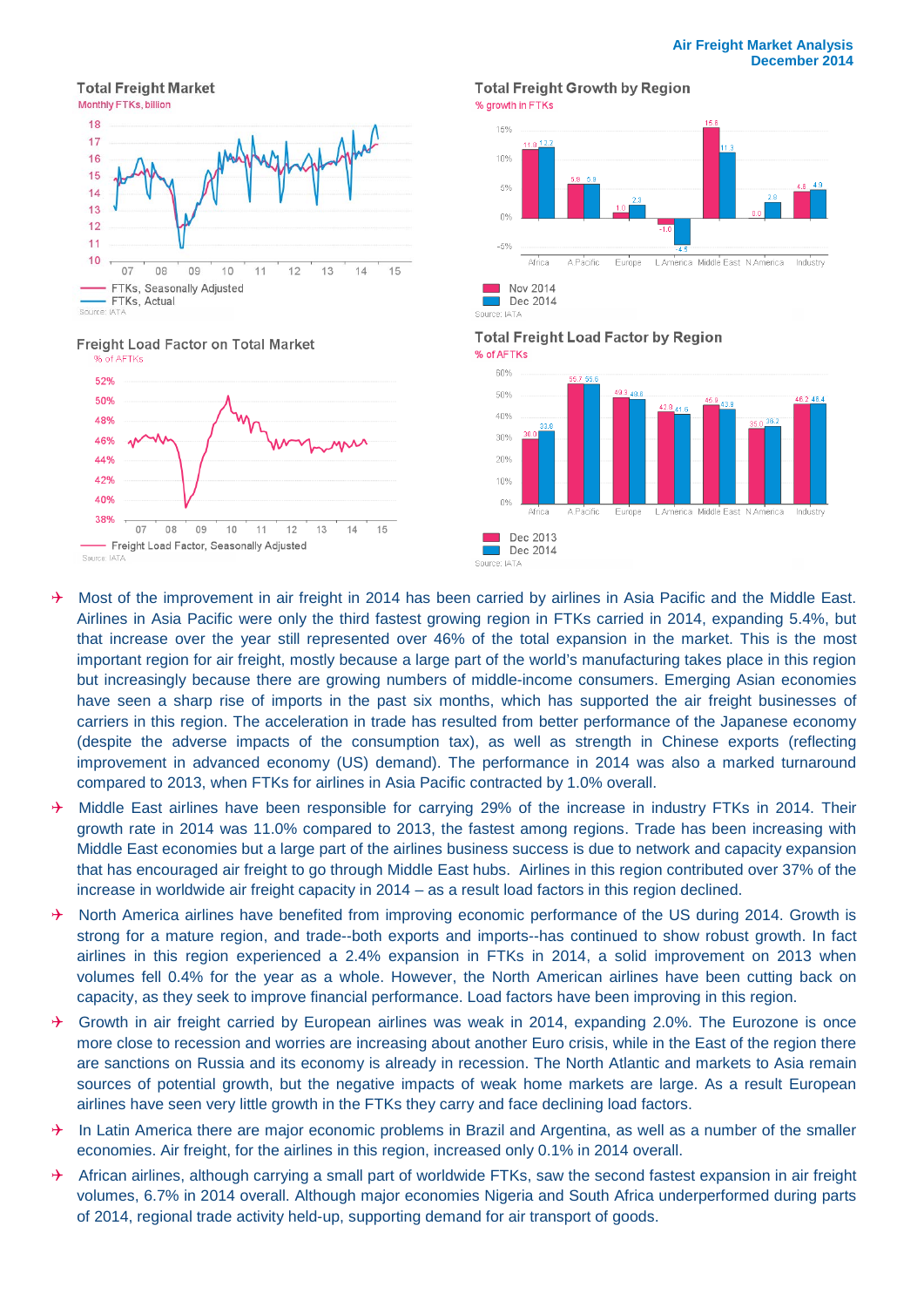#### **Total Freight Market**



#### Freight Load Factor on Total Market



#### **Total Freight Growth by Region** % growth in FTKs



**Total Freight Load Factor by Region** 



- $\rightarrow$  Most of the improvement in air freight in 2014 has been carried by airlines in Asia Pacific and the Middle East. Airlines in Asia Pacific were only the third fastest growing region in FTKs carried in 2014, expanding 5.4%, but that increase over the year still represented over 46% of the total expansion in the market. This is the most important region for air freight, mostly because a large part of the world's manufacturing takes place in this region but increasingly because there are growing numbers of middle-income consumers. Emerging Asian economies have seen a sharp rise of imports in the past six months, which has supported the air freight businesses of carriers in this region. The acceleration in trade has resulted from better performance of the Japanese economy (despite the adverse impacts of the consumption tax), as well as strength in Chinese exports (reflecting improvement in advanced economy (US) demand). The performance in 2014 was also a marked turnaround compared to 2013, when FTKs for airlines in Asia Pacific contracted by 1.0% overall.
- $\rightarrow$  Middle East airlines have been responsible for carrying 29% of the increase in industry FTKs in 2014. Their growth rate in 2014 was 11.0% compared to 2013, the fastest among regions. Trade has been increasing with Middle East economies but a large part of the airlines business success is due to network and capacity expansion that has encouraged air freight to go through Middle East hubs. Airlines in this region contributed over 37% of the increase in worldwide air freight capacity in 2014 – as a result load factors in this region declined.
- $\rightarrow$  North America airlines have benefited from improving economic performance of the US during 2014. Growth is strong for a mature region, and trade--both exports and imports--has continued to show robust growth. In fact airlines in this region experienced a 2.4% expansion in FTKs in 2014, a solid improvement on 2013 when volumes fell 0.4% for the year as a whole. However, the North American airlines have been cutting back on capacity, as they seek to improve financial performance. Load factors have been improving in this region.
- $\rightarrow$  Growth in air freight carried by European airlines was weak in 2014, expanding 2.0%. The Eurozone is once more close to recession and worries are increasing about another Euro crisis, while in the East of the region there are sanctions on Russia and its economy is already in recession. The North Atlantic and markets to Asia remain sources of potential growth, but the negative impacts of weak home markets are large. As a result European airlines have seen very little growth in the FTKs they carry and face declining load factors.
- $\rightarrow$  In Latin America there are major economic problems in Brazil and Argentina, as well as a number of the smaller economies. Air freight, for the airlines in this region, increased only 0.1% in 2014 overall.
- $\rightarrow$  African airlines, although carrying a small part of worldwide FTKs, saw the second fastest expansion in air freight volumes, 6.7% in 2014 overall. Although major economies Nigeria and South Africa underperformed during parts of 2014, regional trade activity held-up, supporting demand for air transport of goods.